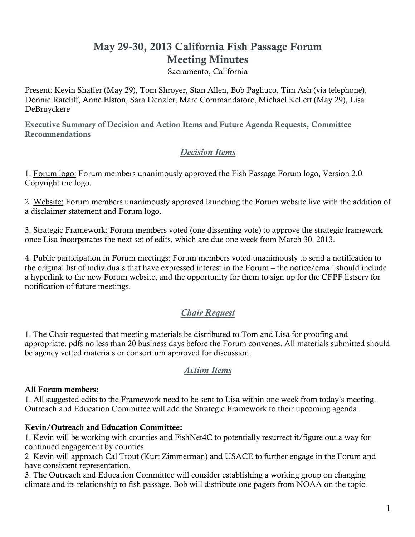# May 29-30, 2013 California Fish Passage Forum Meeting Minutes

Sacramento, California

Present: Kevin Shaffer (May 29), Tom Shroyer, Stan Allen, Bob Pagliuco, Tim Ash (via telephone), Donnie Ratcliff, Anne Elston, Sara Denzler, Marc Commandatore, Michael Kellett (May 29), Lisa DeBruyckere

Executive Summary of Decision and Action Items and Future Agenda Requests, Committee Recommendations

# *Decision Items*

1. Forum logo: Forum members unanimously approved the Fish Passage Forum logo, Version 2.0. Copyright the logo.

2. Website: Forum members unanimously approved launching the Forum website live with the addition of a disclaimer statement and Forum logo.

3. Strategic Framework: Forum members voted (one dissenting vote) to approve the strategic framework once Lisa incorporates the next set of edits, which are due one week from March 30, 2013.

4. Public participation in Forum meetings: Forum members voted unanimously to send a notification to the original list of individuals that have expressed interest in the Forum – the notice/email should include a hyperlink to the new Forum website, and the opportunity for them to sign up for the CFPF listserv for notification of future meetings.

# *Chair Request*

1. The Chair requested that meeting materials be distributed to Tom and Lisa for proofing and appropriate. pdfs no less than 20 business days before the Forum convenes. All materials submitted should be agency vetted materials or consortium approved for discussion.

### *Action Items*

#### All Forum members:

1. All suggested edits to the Framework need to be sent to Lisa within one week from today's meeting. Outreach and Education Committee will add the Strategic Framework to their upcoming agenda.

#### Kevin/Outreach and Education Committee:

1. Kevin will be working with counties and FishNet4C to potentially resurrect it/figure out a way for continued engagement by counties.

2. Kevin will approach Cal Trout (Kurt Zimmerman) and USACE to further engage in the Forum and have consistent representation.

3. The Outreach and Education Committee will consider establishing a working group on changing climate and its relationship to fish passage. Bob will distribute one-pagers from NOAA on the topic.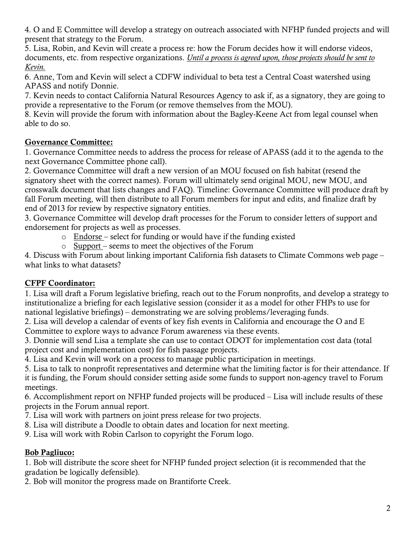4. O and E Committee will develop a strategy on outreach associated with NFHP funded projects and will present that strategy to the Forum.

5. Lisa, Robin, and Kevin will create a process re: how the Forum decides how it will endorse videos, documents, etc. from respective organizations. *Until a process is agreed upon, those projects should be sent to Kevin.*

6. Anne, Tom and Kevin will select a CDFW individual to beta test a Central Coast watershed using APASS and notify Donnie.

7. Kevin needs to contact California Natural Resources Agency to ask if, as a signatory, they are going to provide a representative to the Forum (or remove themselves from the MOU).

8. Kevin will provide the forum with information about the Bagley-Keene Act from legal counsel when able to do so.

# Governance Committee:

1. Governance Committee needs to address the process for release of APASS (add it to the agenda to the next Governance Committee phone call).

2. Governance Committee will draft a new version of an MOU focused on fish habitat (resend the signatory sheet with the correct names). Forum will ultimately send original MOU, new MOU, and crosswalk document that lists changes and FAQ). Timeline: Governance Committee will produce draft by fall Forum meeting, will then distribute to all Forum members for input and edits, and finalize draft by end of 2013 for review by respective signatory entities.

3. Governance Committee will develop draft processes for the Forum to consider letters of support and endorsement for projects as well as processes.

- o Endorse select for funding or would have if the funding existed
- o Support seems to meet the objectives of the Forum

4. Discuss with Forum about linking important California fish datasets to Climate Commons web page – what links to what datasets?

# CFPF Coordinator:

1. Lisa will draft a Forum legislative briefing, reach out to the Forum nonprofits, and develop a strategy to institutionalize a briefing for each legislative session (consider it as a model for other FHPs to use for national legislative briefings) – demonstrating we are solving problems/leveraging funds.

2. Lisa will develop a calendar of events of key fish events in California and encourage the O and E Committee to explore ways to advance Forum awareness via these events.

3. Donnie will send Lisa a template she can use to contact ODOT for implementation cost data (total project cost and implementation cost) for fish passage projects.

4. Lisa and Kevin will work on a process to manage public participation in meetings.

5. Lisa to talk to nonprofit representatives and determine what the limiting factor is for their attendance. If

it is funding, the Forum should consider setting aside some funds to support non-agency travel to Forum meetings.

6. Accomplishment report on NFHP funded projects will be produced – Lisa will include results of these projects in the Forum annual report.

7. Lisa will work with partners on joint press release for two projects.

8. Lisa will distribute a Doodle to obtain dates and location for next meeting.

9. Lisa will work with Robin Carlson to copyright the Forum logo.

# Bob Pagliuco:

1. Bob will distribute the score sheet for NFHP funded project selection (it is recommended that the gradation be logically defensible).

2. Bob will monitor the progress made on Brantiforte Creek.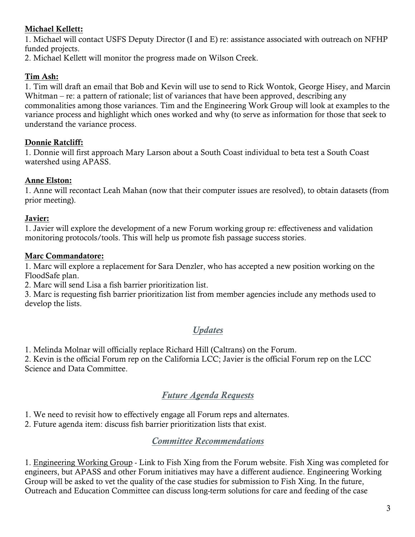### Michael Kellett:

1. Michael will contact USFS Deputy Director (I and E) re: assistance associated with outreach on NFHP funded projects.

2. Michael Kellett will monitor the progress made on Wilson Creek.

### Tim Ash:

1. Tim will draft an email that Bob and Kevin will use to send to Rick Wontok, George Hisey, and Marcin Whitman – re: a pattern of rationale; list of variances that have been approved, describing any commonalities among those variances. Tim and the Engineering Work Group will look at examples to the variance process and highlight which ones worked and why (to serve as information for those that seek to understand the variance process.

### Donnie Ratcliff:

1. Donnie will first approach Mary Larson about a South Coast individual to beta test a South Coast watershed using APASS.

### Anne Elston:

1. Anne will recontact Leah Mahan (now that their computer issues are resolved), to obtain datasets (from prior meeting).

### Javier:

1. Javier will explore the development of a new Forum working group re: effectiveness and validation monitoring protocols/tools. This will help us promote fish passage success stories.

### Marc Commandatore:

1. Marc will explore a replacement for Sara Denzler, who has accepted a new position working on the FloodSafe plan.

2. Marc will send Lisa a fish barrier prioritization list.

3. Marc is requesting fish barrier prioritization list from member agencies include any methods used to develop the lists.

# *Updates*

1. Melinda Molnar will officially replace Richard Hill (Caltrans) on the Forum.

2. Kevin is the official Forum rep on the California LCC; Javier is the official Forum rep on the LCC Science and Data Committee.

# *Future Agenda Requests*

1. We need to revisit how to effectively engage all Forum reps and alternates.

2. Future agenda item: discuss fish barrier prioritization lists that exist.

# *Committee Recommendations*

1. Engineering Working Group - Link to Fish Xing from the Forum website. Fish Xing was completed for engineers, but APASS and other Forum initiatives may have a different audience. Engineering Working Group will be asked to vet the quality of the case studies for submission to Fish Xing. In the future, Outreach and Education Committee can discuss long-term solutions for care and feeding of the case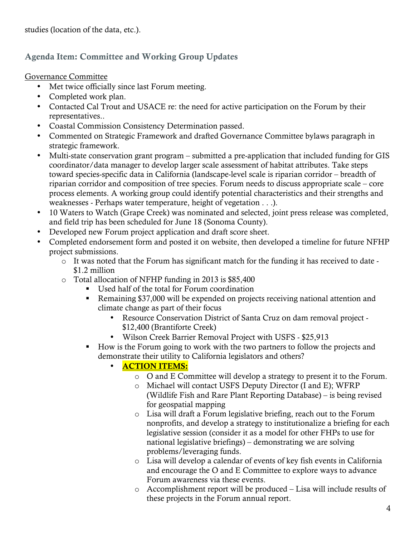studies (location of the data, etc.).

# Agenda Item: Committee and Working Group Updates

Governance Committee

- Met twice officially since last Forum meeting.
- Completed work plan.
- Contacted Cal Trout and USACE re: the need for active participation on the Forum by their representatives..
- Coastal Commission Consistency Determination passed.
- Commented on Strategic Framework and drafted Governance Committee bylaws paragraph in strategic framework.
- Multi-state conservation grant program submitted a pre-application that included funding for GIS coordinator/data manager to develop larger scale assessment of habitat attributes. Take steps toward species-specific data in California (landscape-level scale is riparian corridor – breadth of riparian corridor and composition of tree species. Forum needs to discuss appropriate scale – core process elements. A working group could identify potential characteristics and their strengths and weaknesses - Perhaps water temperature, height of vegetation . . .).
- 10 Waters to Watch (Grape Creek) was nominated and selected, joint press release was completed, and field trip has been scheduled for June 18 (Sonoma County).
- Developed new Forum project application and draft score sheet.
- Completed endorsement form and posted it on website, then developed a timeline for future NFHP project submissions.
	- o It was noted that the Forum has significant match for the funding it has received to date \$1.2 million
	- o Total allocation of NFHP funding in 2013 is \$85,400
		- Used half of the total for Forum coordination
		- Remaining \$37,000 will be expended on projects receiving national attention and climate change as part of their focus
			- Resource Conservation District of Santa Cruz on dam removal project \$12,400 (Brantiforte Creek)
			- Wilson Creek Barrier Removal Project with USFS \$25,913
		- How is the Forum going to work with the two partners to follow the projects and demonstrate their utility to California legislators and others?

# • ACTION ITEMS:

- o O and E Committee will develop a strategy to present it to the Forum.
- o Michael will contact USFS Deputy Director (I and E); WFRP (Wildlife Fish and Rare Plant Reporting Database) – is being revised for geospatial mapping
- o Lisa will draft a Forum legislative briefing, reach out to the Forum nonprofits, and develop a strategy to institutionalize a briefing for each legislative session (consider it as a model for other FHPs to use for national legislative briefings) – demonstrating we are solving problems/leveraging funds.
- o Lisa will develop a calendar of events of key fish events in California and encourage the O and E Committee to explore ways to advance Forum awareness via these events.
- o Accomplishment report will be produced Lisa will include results of these projects in the Forum annual report.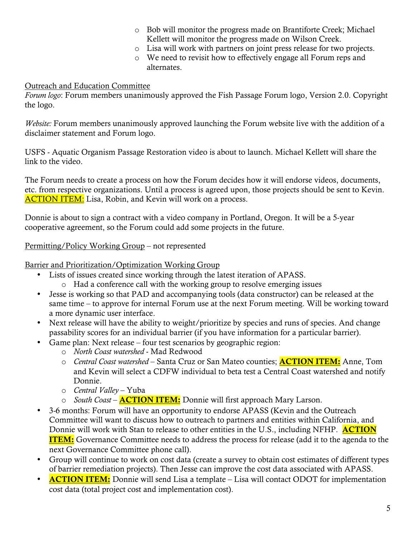- o Bob will monitor the progress made on Brantiforte Creek; Michael Kellett will monitor the progress made on Wilson Creek.
- o Lisa will work with partners on joint press release for two projects.
- o We need to revisit how to effectively engage all Forum reps and alternates.

### Outreach and Education Committee

*Forum logo*: Forum members unanimously approved the Fish Passage Forum logo, Version 2.0. Copyright the logo.

*Website:* Forum members unanimously approved launching the Forum website live with the addition of a disclaimer statement and Forum logo.

USFS - Aquatic Organism Passage Restoration video is about to launch. Michael Kellett will share the link to the video.

The Forum needs to create a process on how the Forum decides how it will endorse videos, documents, etc. from respective organizations. Until a process is agreed upon, those projects should be sent to Kevin. **ACTION ITEM:** Lisa, Robin, and Kevin will work on a process.

Donnie is about to sign a contract with a video company in Portland, Oregon. It will be a 5-year cooperative agreement, so the Forum could add some projects in the future.

### Permitting/Policy Working Group – not represented

#### Barrier and Prioritization/Optimization Working Group

- Lists of issues created since working through the latest iteration of APASS.
	- o Had a conference call with the working group to resolve emerging issues
- Jesse is working so that PAD and accompanying tools (data constructor) can be released at the same time – to approve for internal Forum use at the next Forum meeting. Will be working toward a more dynamic user interface.
- Next release will have the ability to weight/prioritize by species and runs of species. And change passability scores for an individual barrier (if you have information for a particular barrier).
- Game plan: Next release four test scenarios by geographic region:
	- o *North Coast watershed* Mad Redwood
	- o *Central Coast watershed* Santa Cruz or San Mateo counties; ACTION ITEM: Anne, Tom and Kevin will select a CDFW individual to beta test a Central Coast watershed and notify Donnie.
	- o *Central Valley*  Yuba
	- o *South Coast*  ACTION ITEM: Donnie will first approach Mary Larson.
- 3-6 months: Forum will have an opportunity to endorse APASS (Kevin and the Outreach Committee will want to discuss how to outreach to partners and entities within California, and Donnie will work with Stan to release to other entities in the U.S., including NFHP. **ACTION ITEM:** Governance Committee needs to address the process for release (add it to the agenda to the next Governance Committee phone call).
- Group will continue to work on cost data (create a survey to obtain cost estimates of different types of barrier remediation projects). Then Jesse can improve the cost data associated with APASS.
- ACTION ITEM: Donnie will send Lisa a template Lisa will contact ODOT for implementation cost data (total project cost and implementation cost).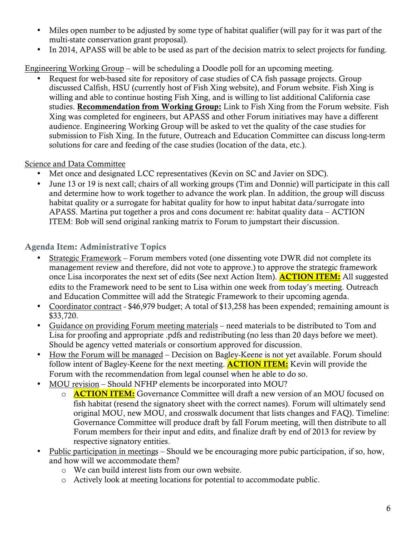- Miles open number to be adjusted by some type of habitat qualifier (will pay for it was part of the multi-state conservation grant proposal).
- In 2014, APASS will be able to be used as part of the decision matrix to select projects for funding.

Engineering Working Group – will be scheduling a Doodle poll for an upcoming meeting.

• Request for web-based site for repository of case studies of CA fish passage projects. Group discussed Calfish, HSU (currently host of Fish Xing website), and Forum website. Fish Xing is willing and able to continue hosting Fish Xing, and is willing to list additional California case studies. Recommendation from Working Group: Link to Fish Xing from the Forum website. Fish Xing was completed for engineers, but APASS and other Forum initiatives may have a different audience. Engineering Working Group will be asked to vet the quality of the case studies for submission to Fish Xing. In the future, Outreach and Education Committee can discuss long-term solutions for care and feeding of the case studies (location of the data, etc.).

### Science and Data Committee

- Met once and designated LCC representatives (Kevin on SC and Javier on SDC).
- June 13 or 19 is next call; chairs of all working groups (Tim and Donnie) will participate in this call and determine how to work together to advance the work plan. In addition, the group will discuss habitat quality or a surrogate for habitat quality for how to input habitat data/surrogate into APASS. Martina put together a pros and cons document re: habitat quality data – ACTION ITEM: Bob will send original ranking matrix to Forum to jumpstart their discussion.

# Agenda Item: Administrative Topics

- Strategic Framework Forum members voted (one dissenting vote DWR did not complete its management review and therefore, did not vote to approve.) to approve the strategic framework once Lisa incorporates the next set of edits (See next Action Item). **ACTION ITEM:** All suggested edits to the Framework need to be sent to Lisa within one week from today's meeting. Outreach and Education Committee will add the Strategic Framework to their upcoming agenda.
- Coordinator contract \$46,979 budget; A total of \$13,258 has been expended; remaining amount is \$33,720.
- Guidance on providing Forum meeting materials need materials to be distributed to Tom and Lisa for proofing and appropriate .pdfs and redistributing (no less than 20 days before we meet). Should be agency vetted materials or consortium approved for discussion.
- How the Forum will be managed Decision on Bagley-Keene is not yet available. Forum should follow intent of Bagley-Keene for the next meeting. **ACTION ITEM:** Kevin will provide the Forum with the recommendation from legal counsel when he able to do so.
- MOU revision Should NFHP elements be incorporated into MOU?
	- o **ACTION ITEM:** Governance Committee will draft a new version of an MOU focused on fish habitat (resend the signatory sheet with the correct names). Forum will ultimately send original MOU, new MOU, and crosswalk document that lists changes and FAQ). Timeline: Governance Committee will produce draft by fall Forum meeting, will then distribute to all Forum members for their input and edits, and finalize draft by end of 2013 for review by respective signatory entities.
- Public participation in meetings Should we be encouraging more pubic participation, if so, how, and how will we accommodate them?
	- o We can build interest lists from our own website.
	- o Actively look at meeting locations for potential to accommodate public.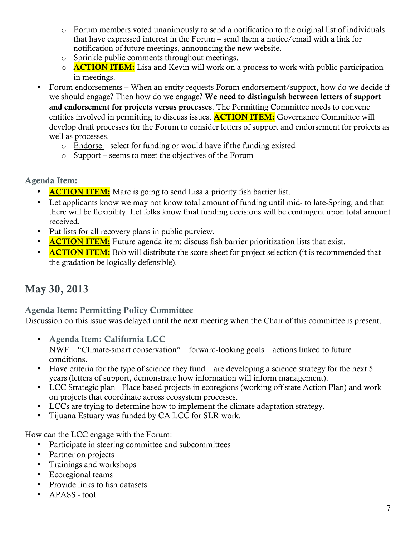- o Forum members voted unanimously to send a notification to the original list of individuals that have expressed interest in the Forum – send them a notice/email with a link for notification of future meetings, announcing the new website.
- o Sprinkle public comments throughout meetings.
- $\circ$  **ACTION ITEM:** Lisa and Kevin will work on a process to work with public participation in meetings.
- Forum endorsements When an entity requests Forum endorsement/support, how do we decide if we should engage? Then how do we engage? We need to distinguish between letters of support and endorsement for projects versus processes. The Permitting Committee needs to convene entities involved in permitting to discuss issues. **ACTION ITEM:** Governance Committee will develop draft processes for the Forum to consider letters of support and endorsement for projects as well as processes.
	- $\circ$  Endorse select for funding or would have if the funding existed
	- o Support seems to meet the objectives of the Forum

# Agenda Item:

- **ACTION ITEM:** Marc is going to send Lisa a priority fish barrier list.
- Let applicants know we may not know total amount of funding until mid- to late-Spring, and that there will be flexibility. Let folks know final funding decisions will be contingent upon total amount received.
- Put lists for all recovery plans in public purview.
- **ACTION ITEM:** Future agenda item: discuss fish barrier prioritization lists that exist.
- **ACTION ITEM:** Bob will distribute the score sheet for project selection (it is recommended that the gradation be logically defensible).

# May 30, 2013

Agenda Item: Permitting Policy Committee

Discussion on this issue was delayed until the next meeting when the Chair of this committee is present.

- Agenda Item: California LCC NWF – "Climate-smart conservation" – forward-looking goals – actions linked to future conditions.
- $\blacksquare$  Have criteria for the type of science they fund are developing a science strategy for the next 5 years (letters of support, demonstrate how information will inform management).
- LCC Strategic plan Place-based projects in ecoregions (working off state Action Plan) and work on projects that coordinate across ecosystem processes.
- LCCs are trying to determine how to implement the climate adaptation strategy.
- Tijuana Estuary was funded by CA LCC for SLR work.

How can the LCC engage with the Forum:

- Participate in steering committee and subcommittees
- Partner on projects
- Trainings and workshops
- Ecoregional teams
- Provide links to fish datasets
- APASS tool